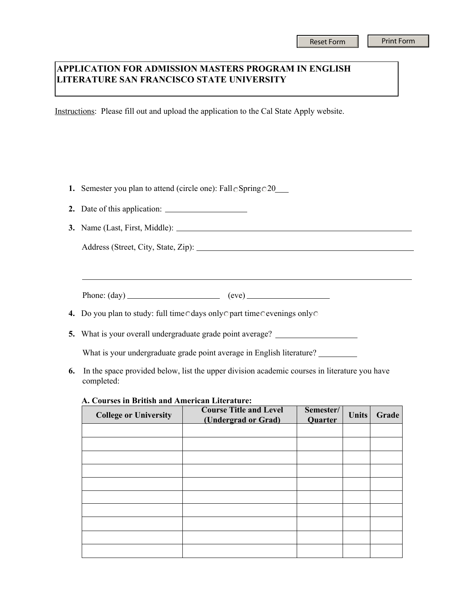## **APPLICATION FOR ADMISSION MASTERS PROGRAM IN ENGLISH LITERATURE SAN FRANCISCO STATE UNIVERSITY**

Instructions: Please fill out and upload the application to the Cal State Apply website.

- **1.** Semester you plan to attend (circle one): Fall Spring 020
- **2.** Date of this application:
- **3.** Name (Last, First, Middle):

Address (Street, City, State, Zip):

Phone:  $(\text{day})$  (eve)

- **4.** Do you plan to study: full time cdays only opart time cevenings only o
- **5.** What is your overall undergraduate grade point average?

What is your undergraduate grade point average in English literature?

**6.** In the space provided below, list the upper division academic courses in literature you have completed:

**A. Courses in British and American Literature:**

| <b>College or University</b> | <b>Course Title and Level</b><br>(Undergrad or Grad) | Semester/<br>Quarter | <b>Units</b> | Grade |
|------------------------------|------------------------------------------------------|----------------------|--------------|-------|
|                              |                                                      |                      |              |       |
|                              |                                                      |                      |              |       |
|                              |                                                      |                      |              |       |
|                              |                                                      |                      |              |       |
|                              |                                                      |                      |              |       |
|                              |                                                      |                      |              |       |
|                              |                                                      |                      |              |       |
|                              |                                                      |                      |              |       |
|                              |                                                      |                      |              |       |
|                              |                                                      |                      |              |       |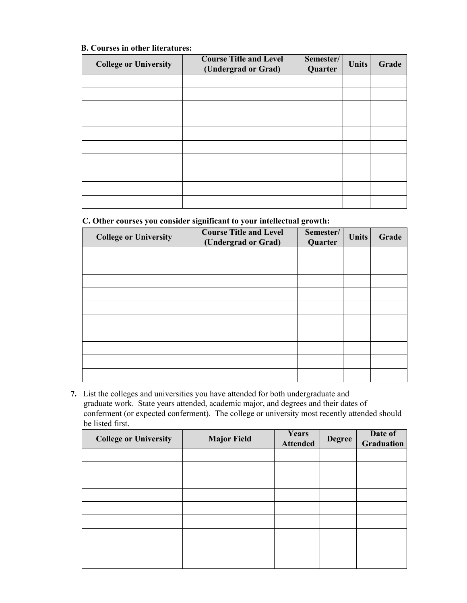## **B. Courses in other literatures:**

| <b>College or University</b> | <b>Course Title and Level</b><br>(Undergrad or Grad) | Semester/<br>Quarter | <b>Units</b> | Grade |
|------------------------------|------------------------------------------------------|----------------------|--------------|-------|
|                              |                                                      |                      |              |       |
|                              |                                                      |                      |              |       |
|                              |                                                      |                      |              |       |
|                              |                                                      |                      |              |       |
|                              |                                                      |                      |              |       |
|                              |                                                      |                      |              |       |
|                              |                                                      |                      |              |       |
|                              |                                                      |                      |              |       |
|                              |                                                      |                      |              |       |
|                              |                                                      |                      |              |       |

## **C. Other courses you consider significant to your intellectual growth:**

| <b>College or University</b> | <b>Course Title and Level</b><br>(Undergrad or Grad) | Semester/<br>Quarter | <b>Units</b> | Grade |
|------------------------------|------------------------------------------------------|----------------------|--------------|-------|
|                              |                                                      |                      |              |       |
|                              |                                                      |                      |              |       |
|                              |                                                      |                      |              |       |
|                              |                                                      |                      |              |       |
|                              |                                                      |                      |              |       |
|                              |                                                      |                      |              |       |
|                              |                                                      |                      |              |       |
|                              |                                                      |                      |              |       |
|                              |                                                      |                      |              |       |
|                              |                                                      |                      |              |       |

**7.** List the colleges and universities you have attended for both undergraduate and graduate work. State years attended, academic major, and degrees and their dates of conferment (or expected conferment). The college or university most recently attended should be listed first.

| <b>College or University</b> | <b>Major Field</b> | Years<br><b>Attended</b> | <b>Degree</b> | Date of<br><b>Graduation</b> |
|------------------------------|--------------------|--------------------------|---------------|------------------------------|
|                              |                    |                          |               |                              |
|                              |                    |                          |               |                              |
|                              |                    |                          |               |                              |
|                              |                    |                          |               |                              |
|                              |                    |                          |               |                              |
|                              |                    |                          |               |                              |
|                              |                    |                          |               |                              |
|                              |                    |                          |               |                              |
|                              |                    |                          |               |                              |